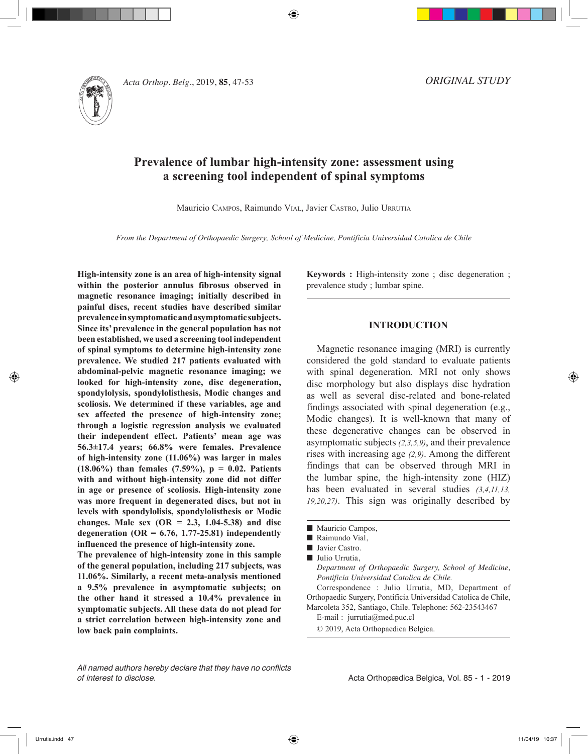

*Acta Orthop. Belg.*, 2019, **85**, 47-53

*ORIGINAL STUDY*

# **Prevalence of lumbar high-intensity zone: assessment using a screening tool independent of spinal symptoms**

⊕

Mauricio Campos, Raimundo Vial, Javier Castro, Julio Urrutia

*From the Department of Orthopaedic Surgery, School of Medicine, Pontificia Universidad Catolica de Chile*

**High-intensity zone is an area of high-intensity signal within the posterior annulus fibrosus observed in magnetic resonance imaging; initially described in painful discs, recent studies have described similar prevalence in symptomatic and asymptomatic subjects. Since its' prevalence in the general population has not been established, we used a screening tool independent of spinal symptoms to determine high-intensity zone prevalence. We studied 217 patients evaluated with abdominal-pelvic magnetic resonance imaging; we looked for high-intensity zone, disc degeneration, spondylolysis, spondylolisthesis, Modic changes and scoliosis. We determined if these variables, age and sex affected the presence of high-intensity zone; through a logistic regression analysis we evaluated their independent effect. Patients' mean age was 56.3±17.4 years; 66.8% were females. Prevalence of high-intensity zone (11.06%) was larger in males (18.06%) than females (7.59%), p = 0.02. Patients with and without high-intensity zone did not differ in age or presence of scoliosis. High-intensity zone was more frequent in degenerated discs, but not in levels with spondylolisis, spondylolisthesis or Modic changes. Male sex (OR = 2.3, 1.04-5.38) and disc degeneration (OR = 6.76, 1.77-25.81) independently influenced the presence of high-intensity zone.** 

**The prevalence of high-intensity zone in this sample of the general population, including 217 subjects, was 11.06%. Similarly, a recent meta-analysis mentioned a 9.5% prevalence in asymptomatic subjects; on the other hand it stressed a 10.4% prevalence in symptomatic subjects. All these data do not plead for a strict correlation between high-intensity zone and low back pain complaints.**

**Keywords :** High-intensity zone ; disc degeneration ; prevalence study ; lumbar spine.

## **INTRODUCTION**

Magnetic resonance imaging (MRI) is currently considered the gold standard to evaluate patients with spinal degeneration. MRI not only shows disc morphology but also displays disc hydration as well as several disc-related and bone-related findings associated with spinal degeneration (e.g., Modic changes). It is well-known that many of these degenerative changes can be observed in asymptomatic subjects *(2,3,5,9)*, and their prevalence rises with increasing age *(2,9)*. Among the different findings that can be observed through MRI in the lumbar spine, the high-intensity zone (HIZ) has been evaluated in several studies  $(3,4,11,13,$ *19,20,27)*. This sign was originally described by

Correspondence : Julio Urrutia, MD, Department of Orthopaedic Surgery, Pontificia Universidad Catolica de Chile, Marcoleta 352, Santiago, Chile. Telephone: 562-23543467

E-mail : jurrutia@med.puc.cl

© 2019, Acta Orthopaedica Belgica.

*All named authors hereby declare that they have no conflicts of interest to disclose.*

Acta Orthopædica Belgica, Vol. 85 - 1 - 2019

 $\blacksquare$  Mauricio Campos,

Raimundo Vial,

**D** Javier Castro.

 $\blacksquare$  Julio Urrutia,

*Department of Orthopaedic Surgery, School of Medicine, Pontificia Universidad Catolica de Chile.*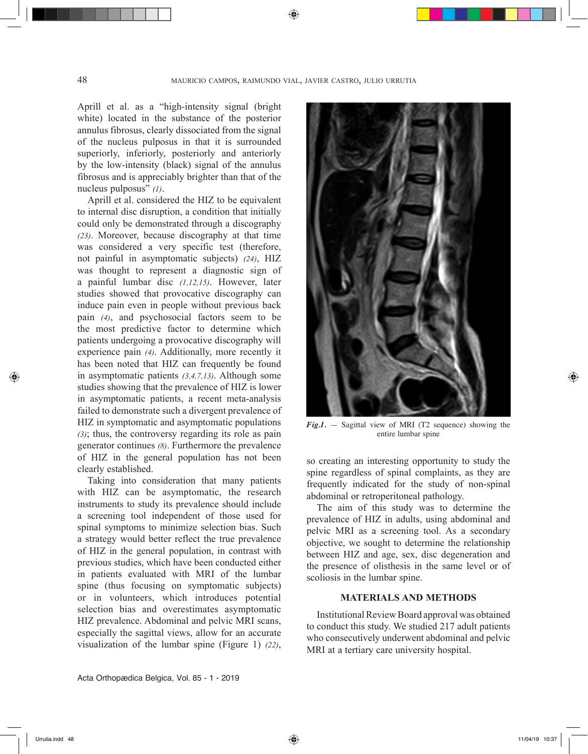Aprill et al. as a "high-intensity signal (bright white) located in the substance of the posterior annulus fibrosus, clearly dissociated from the signal of the nucleus pulposus in that it is surrounded superiorly, inferiorly, posteriorly and anteriorly by the low-intensity (black) signal of the annulus fibrosus and is appreciably brighter than that of the nucleus pulposus" *(1)*.

Aprill et al. considered the HIZ to be equivalent to internal disc disruption, a condition that initially could only be demonstrated through a discography *(23)*. Moreover, because discography at that time was considered a very specific test (therefore, not painful in asymptomatic subjects) *(24)*, HIZ was thought to represent a diagnostic sign of a painful lumbar disc *(1,12,15)*. However, later studies showed that provocative discography can induce pain even in people without previous back pain *(4)*, and psychosocial factors seem to be the most predictive factor to determine which patients undergoing a provocative discography will experience pain *(4)*. Additionally, more recently it has been noted that HIZ can frequently be found in asymptomatic patients *(3,4,7,13)*. Although some studies showing that the prevalence of HIZ is lower in asymptomatic patients, a recent meta-analysis failed to demonstrate such a divergent prevalence of HIZ in symptomatic and asymptomatic populations *(3)*; thus, the controversy regarding its role as pain generator continues *(8)*. Furthermore the prevalence of HIZ in the general population has not been clearly established.

Taking into consideration that many patients with HIZ can be asymptomatic, the research instruments to study its prevalence should include a screening tool independent of those used for spinal symptoms to minimize selection bias. Such a strategy would better reflect the true prevalence of HIZ in the general population, in contrast with previous studies, which have been conducted either in patients evaluated with MRI of the lumbar spine (thus focusing on symptomatic subjects) or in volunteers, which introduces potential selection bias and overestimates asymptomatic HIZ prevalence. Abdominal and pelvic MRI scans, especially the sagittal views, allow for an accurate visualization of the lumbar spine (Figure 1) *(22)*,

Acta Orthopædica Belgica, Vol. 85 - 1 - 2019



*Fig.1.* — Sagittal view of MRI (T2 sequence) showing the entire lumbar spine

so creating an interesting opportunity to study the spine regardless of spinal complaints, as they are frequently indicated for the study of non-spinal abdominal or retroperitoneal pathology.

The aim of this study was to determine the prevalence of HIZ in adults, using abdominal and pelvic MRI as a screening tool. As a secondary objective, we sought to determine the relationship between HIZ and age, sex, disc degeneration and the presence of olisthesis in the same level or of scoliosis in the lumbar spine.

### **MATERIALS AND METHODS**

Institutional Review Board approval was obtained to conduct this study. We studied 217 adult patients who consecutively underwent abdominal and pelvic MRI at a tertiary care university hospital.

◈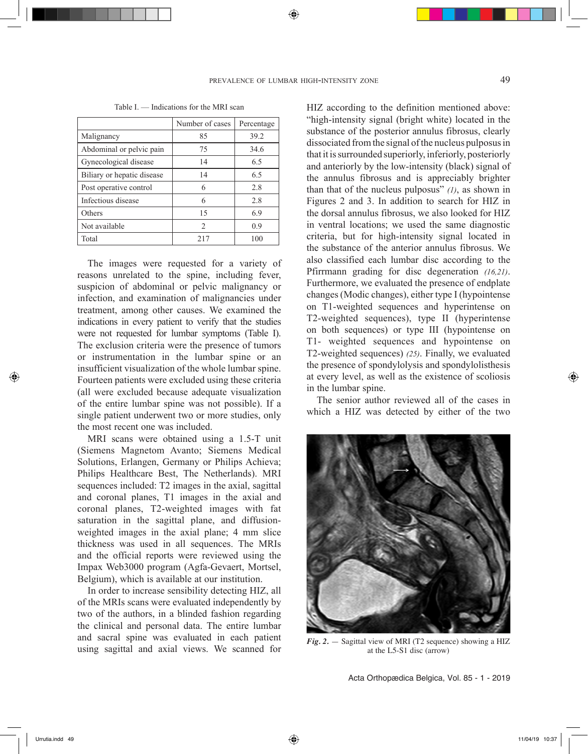|                            | Number of cases | Percentage |
|----------------------------|-----------------|------------|
| Malignancy                 | 85              | 39.2       |
| Abdominal or pelvic pain   | 75              | 34.6       |
| Gynecological disease      | 14              | 6.5        |
| Biliary or hepatic disease | 14              | 6.5        |
| Post operative control     | 6               | 2.8        |
| Infectious disease         | 6               | 2.8        |
| Others                     | 15              | 6.9        |
| Not available              | $\overline{2}$  | 0.9        |
| Total                      |                 | 100        |

Table I. — Indications for the MRI scan

The images were requested for a variety of reasons unrelated to the spine, including fever, suspicion of abdominal or pelvic malignancy or infection, and examination of malignancies under treatment, among other causes. We examined the indications in every patient to verify that the studies were not requested for lumbar symptoms (Table I). The exclusion criteria were the presence of tumors or instrumentation in the lumbar spine or an insufficient visualization of the whole lumbar spine. Fourteen patients were excluded using these criteria (all were excluded because adequate visualization of the entire lumbar spine was not possible). If a single patient underwent two or more studies, only the most recent one was included.

MRI scans were obtained using a 1.5-T unit (Siemens Magnetom Avanto; Siemens Medical Solutions, Erlangen, Germany or Philips Achieva; Philips Healthcare Best, The Netherlands). MRI sequences included: T2 images in the axial, sagittal and coronal planes, T1 images in the axial and coronal planes, T2-weighted images with fat saturation in the sagittal plane, and diffusionweighted images in the axial plane; 4 mm slice thickness was used in all sequences. The MRIs and the official reports were reviewed using the Impax Web3000 program (Agfa-Gevaert, Mortsel, Belgium), which is available at our institution.

In order to increase sensibility detecting HIZ, all of the MRIs scans were evaluated independently by two of the authors, in a blinded fashion regarding the clinical and personal data. The entire lumbar and sacral spine was evaluated in each patient and sacral spine was evaluated in each patient  $Fig. 2. -$  Sagittal view of MRI (T2 sequence) showing a HIZ using sagittal and axial views. We scanned for  $x = 5.51$  disc (arrow)

HIZ according to the definition mentioned above: "high-intensity signal (bright white) located in the substance of the posterior annulus fibrosus, clearly dissociated from the signal of the nucleus pulposus in that it is surrounded superiorly, inferiorly, posteriorly and anteriorly by the low-intensity (black) signal of the annulus fibrosus and is appreciably brighter than that of the nucleus pulposus" *(1)*, as shown in Figures 2 and 3. In addition to search for HIZ in the dorsal annulus fibrosus, we also looked for HIZ in ventral locations; we used the same diagnostic criteria, but for high-intensity signal located in the substance of the anterior annulus fibrosus. We also classified each lumbar disc according to the Pfirrmann grading for disc degeneration *(16,21)*. Furthermore, we evaluated the presence of endplate changes (Modic changes), either type I (hypointense on T1-weighted sequences and hyperintense on T2-weighted sequences), type II (hyperintense on both sequences) or type III (hypointense on T1- weighted sequences and hypointense on T2-weighted sequences) *(25)*. Finally, we evaluated the presence of spondylolysis and spondylolisthesis at every level, as well as the existence of scoliosis in the lumbar spine.

The senior author reviewed all of the cases in which a HIZ was detected by either of the two



at the L5-S1 disc (arrow)

Acta Orthopædica Belgica, Vol. 85 - 1 - 2019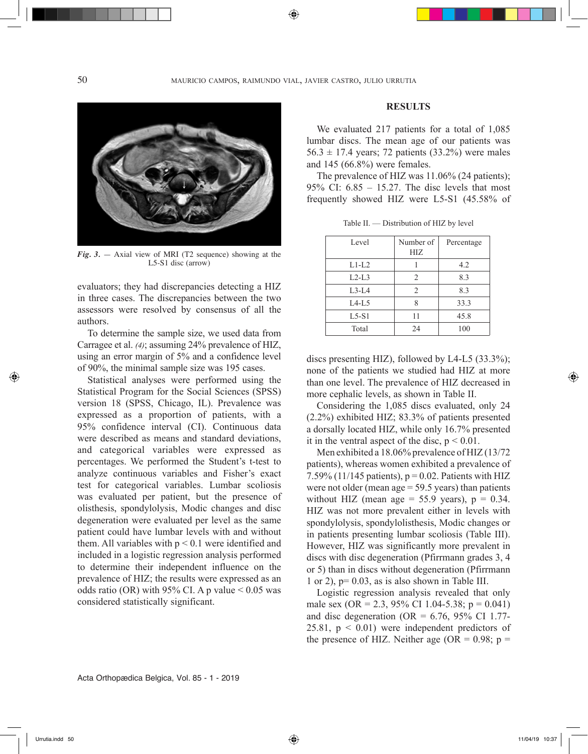50 mauricio campos, raimundo vial, javier castro, julio urrutia

⊕



*Fig. 3.* — Axial view of MRI (T2 sequence) showing at the L5-S1 disc (arrow)

evaluators; they had discrepancies detecting a HIZ in three cases. The discrepancies between the two assessors were resolved by consensus of all the authors.

To determine the sample size, we used data from Carragee et al. *(4)*; assuming 24% prevalence of HIZ, using an error margin of 5% and a confidence level of 90%, the minimal sample size was 195 cases.

Statistical analyses were performed using the Statistical Program for the Social Sciences (SPSS) version 18 (SPSS, Chicago, IL). Prevalence was expressed as a proportion of patients, with a 95% confidence interval (CI). Continuous data were described as means and standard deviations, and categorical variables were expressed as percentages. We performed the Student's t-test to analyze continuous variables and Fisher's exact test for categorical variables. Lumbar scoliosis was evaluated per patient, but the presence of olisthesis, spondylolysis, Modic changes and disc degeneration were evaluated per level as the same patient could have lumbar levels with and without them. All variables with  $p < 0.1$  were identified and included in a logistic regression analysis performed to determine their independent influence on the prevalence of HIZ; the results were expressed as an odds ratio (OR) with 95% CI. A p value  $< 0.05$  was considered statistically significant.

## **RESULTS**

We evaluated 217 patients for a total of 1,085 lumbar discs. The mean age of our patients was  $56.3 \pm 17.4$  years; 72 patients (33.2%) were males and 145 (66.8%) were females.

The prevalence of HIZ was 11.06% (24 patients); 95% CI: 6.85 – 15.27. The disc levels that most frequently showed HIZ were L5-S1 (45.58% of

| Level    | Number of<br>HIZ | Percentage |
|----------|------------------|------------|
| $L1-I.2$ |                  | 4.2        |
| $L2-L3$  | 2                | 8.3        |
| $L3-L4$  | $\overline{2}$   | 8.3        |
| $L4-L5$  | 8                | 33.3       |
| $L5-S1$  | 11               | 45.8       |
| Total    | 24               | 100        |

Table II. — Distribution of HIZ by level

discs presenting HIZ), followed by L4-L5 (33.3%); none of the patients we studied had HIZ at more than one level. The prevalence of HIZ decreased in more cephalic levels, as shown in Table II.

Considering the 1,085 discs evaluated, only 24 (2.2%) exhibited HIZ; 83.3% of patients presented a dorsally located HIZ, while only 16.7% presented it in the ventral aspect of the disc,  $p < 0.01$ .

Men exhibited a 18.06% prevalence of HIZ (13/72 patients), whereas women exhibited a prevalence of 7.59% (11/145 patients),  $p = 0.02$ . Patients with HIZ were not older (mean age = 59.5 years) than patients without HIZ (mean age =  $55.9$  years),  $p = 0.34$ . HIZ was not more prevalent either in levels with spondylolysis, spondylolisthesis, Modic changes or in patients presenting lumbar scoliosis (Table III). However, HIZ was significantly more prevalent in discs with disc degeneration (Pfirrmann grades 3, 4 or 5) than in discs without degeneration (Pfirrmann 1 or 2),  $p= 0.03$ , as is also shown in Table III.

Logistic regression analysis revealed that only male sex (OR = 2.3, 95% CI 1.04-5.38;  $p = 0.041$ ) and disc degeneration (OR =  $6.76$ , 95% CI 1.77-25.81,  $p < 0.01$ ) were independent predictors of the presence of HIZ. Neither age (OR =  $0.98$ ; p =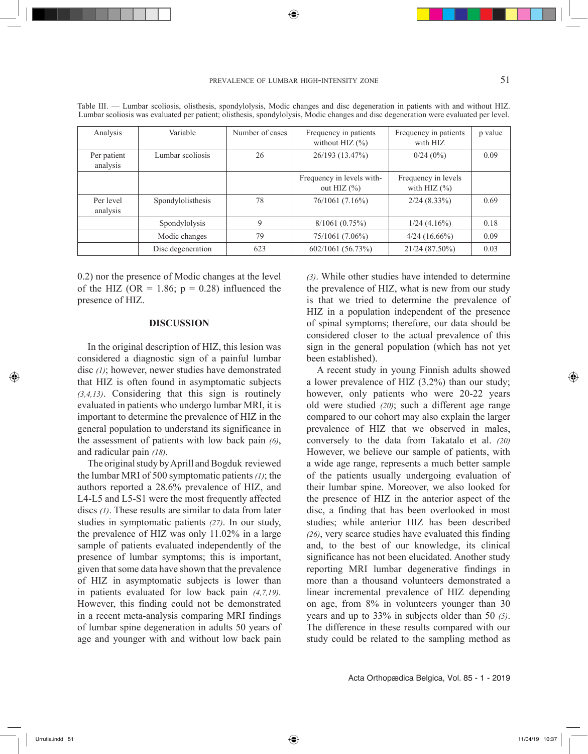| Analysis                | Variable          | Number of cases | Frequency in patients<br>without HIZ $(\% )$ | Frequency in patients<br>with HIZ       | p value |
|-------------------------|-------------------|-----------------|----------------------------------------------|-----------------------------------------|---------|
| Per patient<br>analysis | Lumbar scoliosis  | 26              | 26/193 (13.47%)                              | 0/24(0%)                                | 0.09    |
|                         |                   |                 | Frequency in levels with-<br>out HIZ $(\% )$ | Frequency in levels<br>with HIZ $(\% )$ |         |
| Per level<br>analysis   | Spondylolisthesis | 78              | 76/1061 (7.16%)                              | $2/24(8.33\%)$                          | 0.69    |
|                         | Spondylolysis     | 9               | 8/1061(0.75%)                                | 1/24(4.16%)                             | 0.18    |
|                         | Modic changes     | 79              | 75/1061 (7.06%)                              | $4/24(16.66\%)$                         | 0.09    |
|                         | Disc degeneration | 623             | 602/1061 (56.73%)                            | 21/24 (87.50%)                          | 0.03    |

Table III. — Lumbar scoliosis, olisthesis, spondylolysis, Modic changes and disc degeneration in patients with and without HIZ. Lumbar scoliosis was evaluated per patient; olisthesis, spondylolysis, Modic changes and disc degeneration were evaluated per level.

0.2) nor the presence of Modic changes at the level of the HIZ (OR = 1.86;  $p = 0.28$ ) influenced the presence of HIZ.

#### **DISCUSSION**

In the original description of HIZ, this lesion was considered a diagnostic sign of a painful lumbar disc *(1)*; however, newer studies have demonstrated that HIZ is often found in asymptomatic subjects *(3,4,13)*. Considering that this sign is routinely evaluated in patients who undergo lumbar MRI, it is important to determine the prevalence of HIZ in the general population to understand its significance in the assessment of patients with low back pain *(6)*, and radicular pain *(18)*.

The original study by Aprill and Bogduk reviewed the lumbar MRI of 500 symptomatic patients *(1)*; the authors reported a 28.6% prevalence of HIZ, and L4-L5 and L5-S1 were the most frequently affected discs *(1)*. These results are similar to data from later studies in symptomatic patients *(27)*. In our study, the prevalence of HIZ was only 11.02% in a large sample of patients evaluated independently of the presence of lumbar symptoms; this is important, given that some data have shown that the prevalence of HIZ in asymptomatic subjects is lower than in patients evaluated for low back pain *(4,7,19)*. However, this finding could not be demonstrated in a recent meta-analysis comparing MRI findings of lumbar spine degeneration in adults 50 years of age and younger with and without low back pain

*(3)*. While other studies have intended to determine the prevalence of HIZ, what is new from our study is that we tried to determine the prevalence of HIZ in a population independent of the presence of spinal symptoms; therefore, our data should be considered closer to the actual prevalence of this sign in the general population (which has not yet been established).

A recent study in young Finnish adults showed a lower prevalence of HIZ (3.2%) than our study; however, only patients who were 20-22 years old were studied *(20)*; such a different age range compared to our cohort may also explain the larger prevalence of HIZ that we observed in males, conversely to the data from Takatalo et al. *(20)*  However, we believe our sample of patients, with a wide age range, represents a much better sample of the patients usually undergoing evaluation of their lumbar spine. Moreover, we also looked for the presence of HIZ in the anterior aspect of the disc, a finding that has been overlooked in most studies; while anterior HIZ has been described *(26)*, very scarce studies have evaluated this finding and, to the best of our knowledge, its clinical significance has not been elucidated. Another study reporting MRI lumbar degenerative findings in more than a thousand volunteers demonstrated a linear incremental prevalence of HIZ depending on age, from 8% in volunteers younger than 30 years and up to 33% in subjects older than 50 *(5)*. The difference in these results compared with our study could be related to the sampling method as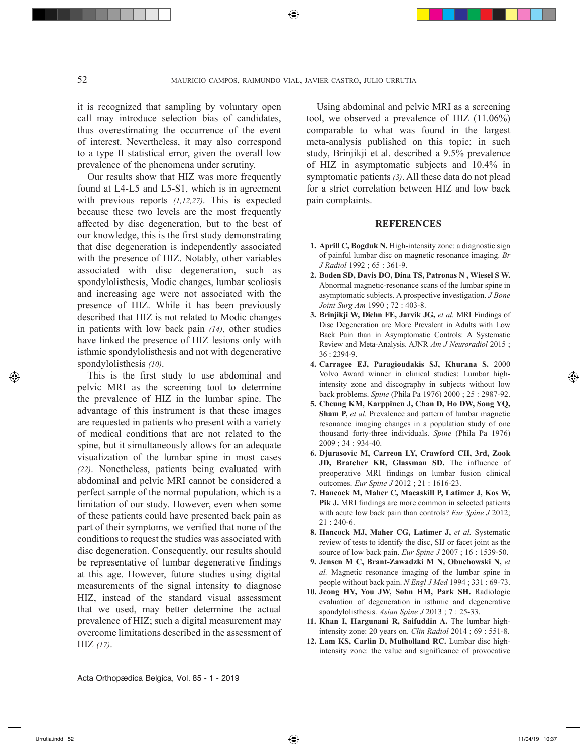it is recognized that sampling by voluntary open call may introduce selection bias of candidates, thus overestimating the occurrence of the event of interest. Nevertheless, it may also correspond to a type II statistical error, given the overall low prevalence of the phenomena under scrutiny.

Our results show that HIZ was more frequently found at L4-L5 and L5-S1, which is in agreement with previous reports *(1,12,27)*. This is expected because these two levels are the most frequently affected by disc degeneration, but to the best of our knowledge, this is the first study demonstrating that disc degeneration is independently associated with the presence of HIZ. Notably, other variables associated with disc degeneration, such as spondylolisthesis, Modic changes, lumbar scoliosis and increasing age were not associated with the presence of HIZ. While it has been previously described that HIZ is not related to Modic changes in patients with low back pain *(14)*, other studies have linked the presence of HIZ lesions only with isthmic spondylolisthesis and not with degenerative spondylolisthesis *(10)*.

This is the first study to use abdominal and pelvic MRI as the screening tool to determine the prevalence of HIZ in the lumbar spine. The advantage of this instrument is that these images are requested in patients who present with a variety of medical conditions that are not related to the spine, but it simultaneously allows for an adequate visualization of the lumbar spine in most cases *(22)*. Nonetheless, patients being evaluated with abdominal and pelvic MRI cannot be considered a perfect sample of the normal population, which is a limitation of our study. However, even when some of these patients could have presented back pain as part of their symptoms, we verified that none of the conditions to request the studies was associated with disc degeneration. Consequently, our results should be representative of lumbar degenerative findings at this age. However, future studies using digital measurements of the signal intensity to diagnose HIZ, instead of the standard visual assessment that we used, may better determine the actual prevalence of HIZ; such a digital measurement may overcome limitations described in the assessment of HIZ *(17)*.

Using abdominal and pelvic MRI as a screening tool, we observed a prevalence of HIZ (11.06%) comparable to what was found in the largest meta-analysis published on this topic; in such study, Brinjikji et al. described a 9.5% prevalence of HIZ in asymptomatic subjects and 10.4% in symptomatic patients *(3)*. All these data do not plead for a strict correlation between HIZ and low back pain complaints.

## **REFERENCES**

- **1. Aprill C, Bogduk N.** High-intensity zone: a diagnostic sign of painful lumbar disc on magnetic resonance imaging. *Br J Radiol* 1992 ; 65 : 361-9.
- **2. Boden SD, Davis DO, Dina TS, Patronas N , Wiesel S W.**  Abnormal magnetic-resonance scans of the lumbar spine in asymptomatic subjects. A prospective investigation. *J Bone Joint Surg Am* 1990 ; 72 : 403-8.
- **3. Brinjikji W, Diehn FE, Jarvik JG,** *et al.* MRI Findings of Disc Degeneration are More Prevalent in Adults with Low Back Pain than in Asymptomatic Controls: A Systematic Review and Meta-Analysis. AJNR *Am J Neuroradiol* 2015 ; 36 : 2394-9.
- **4. Carragee EJ, Paragioudakis SJ, Khurana S.** 2000 Volvo Award winner in clinical studies: Lumbar highintensity zone and discography in subjects without low back problems. *Spine* (Phila Pa 1976) 2000 ; 25 : 2987-92.
- **5. Cheung KM, Karppinen J, Chan D, Ho DW, Song YQ, Sham P,** *et al.* Prevalence and pattern of lumbar magnetic resonance imaging changes in a population study of one thousand forty-three individuals. *Spine* (Phila Pa 1976) 2009 ; 34 : 934-40.
- **6. Djurasovic M, Carreon LY, Crawford CH, 3rd, Zook JD, Bratcher KR, Glassman SD.** The influence of preoperative MRI findings on lumbar fusion clinical outcomes. *Eur Spine J* 2012 ; 21 : 1616-23.
- **7. Hancock M, Maher C, Macaskill P, Latimer J, Kos W,**  Pik J. MRI findings are more common in selected patients with acute low back pain than controls? *Eur Spine J* 2012; 21 : 240-6.
- **8. Hancock MJ, Maher CG, Latimer J,** *et al.* Systematic review of tests to identify the disc, SIJ or facet joint as the source of low back pain. *Eur Spine J* 2007 ; 16 : 1539-50.
- **9. Jensen M C, Brant-Zawadzki M N, Obuchowski N,** *et al.* Magnetic resonance imaging of the lumbar spine in people without back pain. *N Engl J Med* 1994 ; 331 : 69-73.
- **10. Jeong HY, You JW, Sohn HM, Park SH.** Radiologic evaluation of degeneration in isthmic and degenerative spondylolisthesis. *Asian Spine J* 2013 ; 7 : 25-33.
- **11. Khan I, Hargunani R, Saifuddin A.** The lumbar highintensity zone: 20 years on. *Clin Radiol* 2014 ; 69 : 551-8.
- **12. Lam KS, Carlin D, Mulholland RC.** Lumbar disc highintensity zone: the value and significance of provocative

Acta Orthopædica Belgica, Vol. 85 - 1 - 2019